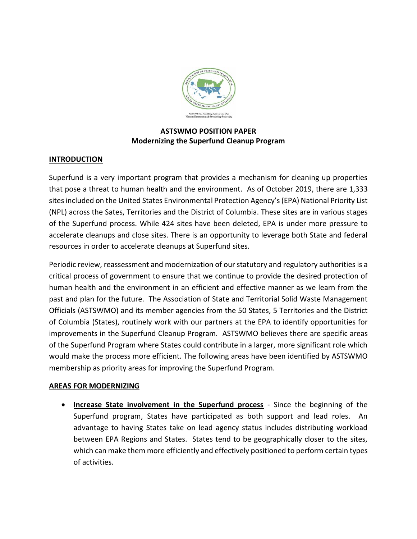

## **ASTSWMO POSITION PAPER Modernizing the Superfund Cleanup Program**

## **INTRODUCTION**

Superfund is a very important program that provides a mechanism for cleaning up properties that pose a threat to human health and the environment. As of October 2019, there are 1,333 sites included on the United States Environmental Protection Agency's (EPA) National Priority List (NPL) across the Sates, Territories and the District of Columbia. These sites are in various stages of the Superfund process. While 424 sites have been deleted, EPA is under more pressure to accelerate cleanups and close sites. There is an opportunity to leverage both State and federal resources in order to accelerate cleanups at Superfund sites.

Periodic review, reassessment and modernization of our statutory and regulatory authorities is a critical process of government to ensure that we continue to provide the desired protection of human health and the environment in an efficient and effective manner as we learn from the past and plan for the future. The Association of State and Territorial Solid Waste Management Officials (ASTSWMO) and its member agencies from the 50 States, 5 Territories and the District of Columbia (States), routinely work with our partners at the EPA to identify opportunities for improvements in the Superfund Cleanup Program. ASTSWMO believes there are specific areas of the Superfund Program where States could contribute in a larger, more significant role which would make the process more efficient. The following areas have been identified by ASTSWMO membership as priority areas for improving the Superfund Program.

## **AREAS FOR MODERNIZING**

• **Increase State involvement in the Superfund process** - Since the beginning of the Superfund program, States have participated as both support and lead roles. An advantage to having States take on lead agency status includes distributing workload between EPA Regions and States. States tend to be geographically closer to the sites, which can make them more efficiently and effectively positioned to perform certain types of activities.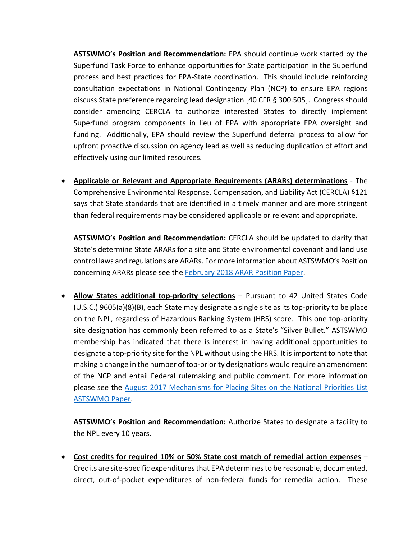**ASTSWMO's Position and Recommendation:** EPA should continue work started by the Superfund Task Force to enhance opportunities for State participation in the Superfund process and best practices for EPA-State coordination. This should include reinforcing consultation expectations in National Contingency Plan (NCP) to ensure EPA regions discuss State preference regarding lead designation [40 CFR § 300.505]. Congress should consider amending CERCLA to authorize interested States to directly implement Superfund program components in lieu of EPA with appropriate EPA oversight and funding. Additionally, EPA should review the Superfund deferral process to allow for upfront proactive discussion on agency lead as well as reducing duplication of effort and effectively using our limited resources.

• **Applicable or Relevant and Appropriate Requirements (ARARs) determinations** - The Comprehensive Environmental Response, Compensation, and Liability Act (CERCLA) §121 says that State standards that are identified in a timely manner and are more stringent than federal requirements may be considered applicable or relevant and appropriate.

**ASTSWMO's Position and Recommendation:** CERCLA should be updated to clarify that State's determine State ARARs for a site and State environmental covenant and land use control laws and regulations are ARARs. For more information about ASTSWMO's Position concerning ARARs please see the February 2018 [ARAR Position Paper.](http://astswmo.org/state-concerns-with-the-process-of-identifying-comprehensive-environmental-response-compensation-and-liability-act-cercla-applicable-or-relevant-and-appropriate-requirements/http:/astswmo.org/state-concerns-with-the-process-of-identifying-comprehensive-environmental-response-compensation-and-liability-act-cercla-applicable-or-relevant-and-appropriate-requirements/)

• **Allow States additional top-priority selections** – Pursuant to 42 United States Code (U.S.C.) 9605(a)(8)(B), each State may designate a single site as its top-priority to be place on the NPL, regardless of Hazardous Ranking System (HRS) score. This one top-priority site designation has commonly been referred to as a State's "Silver Bullet." ASTSWMO membership has indicated that there is interest in having additional opportunities to designate a top-priority site for the NPL without using the HRS. It is important to note that making a change in the number of top-priority designations would require an amendment of the NCP and entail Federal rulemaking and public comment. For more information please see the [August 2017 Mechanisms for Placing Sites on the National Priorities List](http://astswmo.org/files/Resources/CERCLA_and_Brownfields/SAFG-NPL-Designation-Paper-8-22-17.pdf)  [ASTSWMO Paper.](http://astswmo.org/files/Resources/CERCLA_and_Brownfields/SAFG-NPL-Designation-Paper-8-22-17.pdf)

**ASTSWMO's Position and Recommendation:** Authorize States to designate a facility to the NPL every 10 years.

• **Cost credits for required 10% or 50% State cost match of remedial action expenses** – Credits are site-specific expenditures that EPA determines to be reasonable, documented, direct, out-of-pocket expenditures of non-federal funds for remedial action. These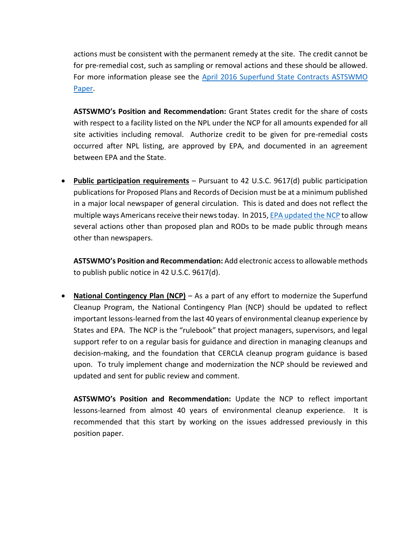actions must be consistent with the permanent remedy at the site. The credit cannot be for pre-remedial cost, such as sampling or removal actions and these should be allowed. For more information please see the [April 2016 Superfund State Contracts ASTSWMO](http://astswmo.org/files/policies/CERCLA_and_Brownfields/2016_SSC_Guidance_FINAL.pdf)  [Paper.](http://astswmo.org/files/policies/CERCLA_and_Brownfields/2016_SSC_Guidance_FINAL.pdf)

**ASTSWMO's Position and Recommendation:** Grant States credit for the share of costs with respect to a facility listed on the NPL under the NCP for all amounts expended for all site activities including removal. Authorize credit to be given for pre-remedial costs occurred after NPL listing, are approved by EPA, and documented in an agreement between EPA and the State.

• **Public participation requirements** – Pursuant to 42 U.S.C. 9617(d) public participation publications for Proposed Plans and Records of Decision must be at a minimum published in a major local newspaper of general circulation. This is dated and does not reflect the multiple ways Americans receive their news today. In 2015[, EPA updated the NCP](https://www.federalregister.gov/documents/2015/04/02/2015-07474/national-oil-and-hazardous-substances-pollution-contingency-plan-ncp-amending-the-ncp-for-public) to allow several actions other than proposed plan and RODs to be made public through means other than newspapers.

**ASTSWMO's Position and Recommendation:** Add electronic access to allowable methods to publish public notice in 42 U.S.C. 9617(d).

• **National Contingency Plan (NCP)** – As a part of any effort to modernize the Superfund Cleanup Program, the National Contingency Plan (NCP) should be updated to reflect important lessons-learned from the last 40 years of environmental cleanup experience by States and EPA. The NCP is the "rulebook" that project managers, supervisors, and legal support refer to on a regular basis for guidance and direction in managing cleanups and decision-making, and the foundation that CERCLA cleanup program guidance is based upon. To truly implement change and modernization the NCP should be reviewed and updated and sent for public review and comment.

**ASTSWMO's Position and Recommendation:** Update the NCP to reflect important lessons-learned from almost 40 years of environmental cleanup experience. It is recommended that this start by working on the issues addressed previously in this position paper.